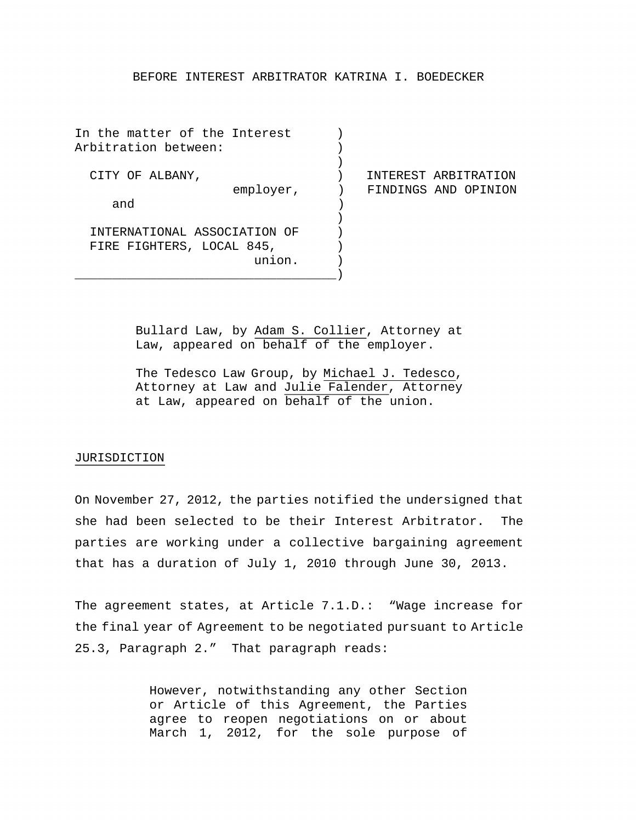### BEFORE INTEREST ARBITRATOR KATRINA I. BOEDECKER

In the matter of the Interest (1) Arbitration between: (1)  $)$  CITY OF ALBANY, ) INTEREST ARBITRATION employer, ) FINDINGS AND OPINION<br>and ) and )  $\left( \right)$  INTERNATIONAL ASSOCIATION OF ) FIRE FIGHTERS, LOCAL 845,

\_\_\_\_\_\_\_\_\_\_\_\_\_\_\_\_\_\_\_\_\_\_\_\_\_\_\_\_\_\_\_\_\_\_\_)

Bullard Law, by Adam S. Collier, Attorney at Law, appeared on behalf of the employer.

union. )

The Tedesco Law Group, by Michael J. Tedesco, Attorney at Law and Julie Falender, Attorney at Law, appeared on behalf of the union.

#### JURISDICTION

On November 27, 2012, the parties notified the undersigned that she had been selected to be their Interest Arbitrator. The parties are working under a collective bargaining agreement that has a duration of July 1, 2010 through June 30, 2013.

The agreement states, at Article 7.1.D.: "Wage increase for the final year of Agreement to be negotiated pursuant to Article 25.3, Paragraph 2." That paragraph reads:

> However, notwithstanding any other Section or Article of this Agreement, the Parties agree to reopen negotiations on or about March 1, 2012, for the sole purpose of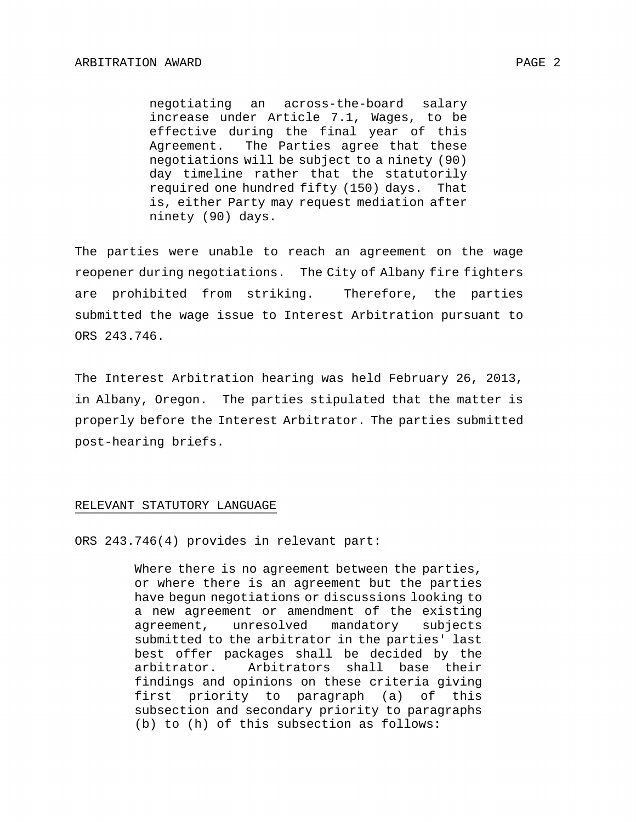negotiating an across-the-board salary increase under Article 7.1, Wages, to be effective during the final year of this Agreement. The Parties agree that these negotiations will be subject to a ninety (90) day timeline rather that the statutorily required one hundred fifty (150) days. That is, either Party may request mediation after ninety (90) days.

The parties were unable to reach an agreement on the wage reopener during negotiations. The City of Albany fire fighters are prohibited from striking. Therefore, the parties submitted the wage issue to Interest Arbitration pursuant to ORS 243.746.

The Interest Arbitration hearing was held February 26, 2013, in Albany, Oregon. The parties stipulated that the matter is properly before the Interest Arbitrator. The parties submitted post-hearing briefs.

#### RELEVANT STATUTORY LANGUAGE

ORS 243.746(4) provides in relevant part:

Where there is no agreement between the parties, or where there is an agreement but the parties have begun negotiations or discussions looking to a new agreement or amendment of the existing agreement, unresolved mandatory subjects submitted to the arbitrator in the parties' last best offer packages shall be decided by the<br>arbitrator. Arbitrators shall base their Arbitrators shall base their findings and opinions on these criteria giving first priority to paragraph (a) of this subsection and secondary priority to paragraphs (b) to (h) of this subsection as follows: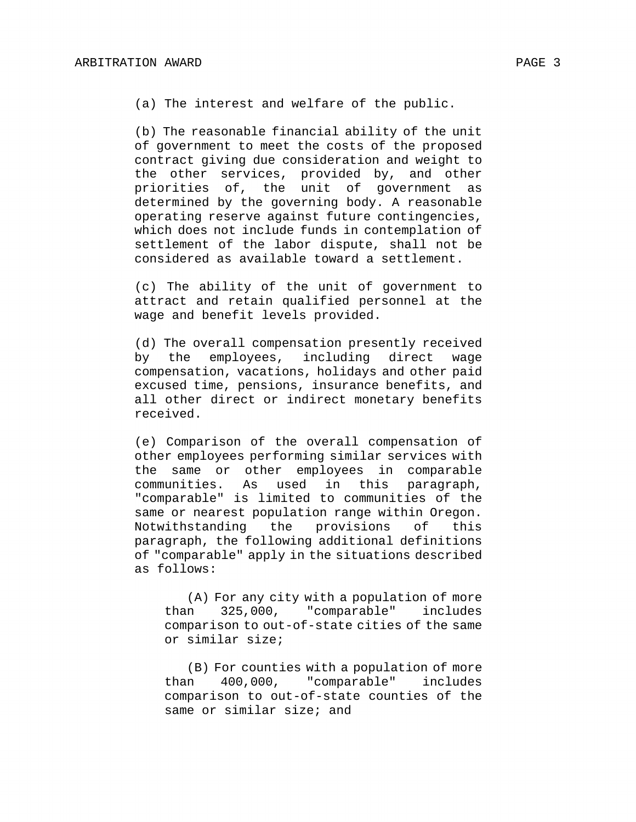(a) The interest and welfare of the public.

(b) The reasonable financial ability of the unit of government to meet the costs of the proposed contract giving due consideration and weight to the other services, provided by, and other priorities of, the unit of government as determined by the governing body. A reasonable operating reserve against future contingencies, which does not include funds in contemplation of settlement of the labor dispute, shall not be considered as available toward a settlement.

(c) The ability of the unit of government to attract and retain qualified personnel at the wage and benefit levels provided.

(d) The overall compensation presently received by the employees, including direct wage compensation, vacations, holidays and other paid excused time, pensions, insurance benefits, and all other direct or indirect monetary benefits received.

(e) Comparison of the overall compensation of other employees performing similar services with the same or other employees in comparable<br>communities. As used in this paragraph, communities. As used in this paragraph, "comparable" is limited to communities of the same or nearest population range within Oregon.<br>Notwithstanding the provisions of this Notwithstanding the provisions of this paragraph, the following additional definitions of "comparable" apply in the situations described as follows:

(A) For any city with a population of more than 325,000, "comparable" includes comparison to out-of-state cities of the same or similar size;

(B) For counties with a population of more than 400,000, "comparable" includes comparison to out-of-state counties of the same or similar size; and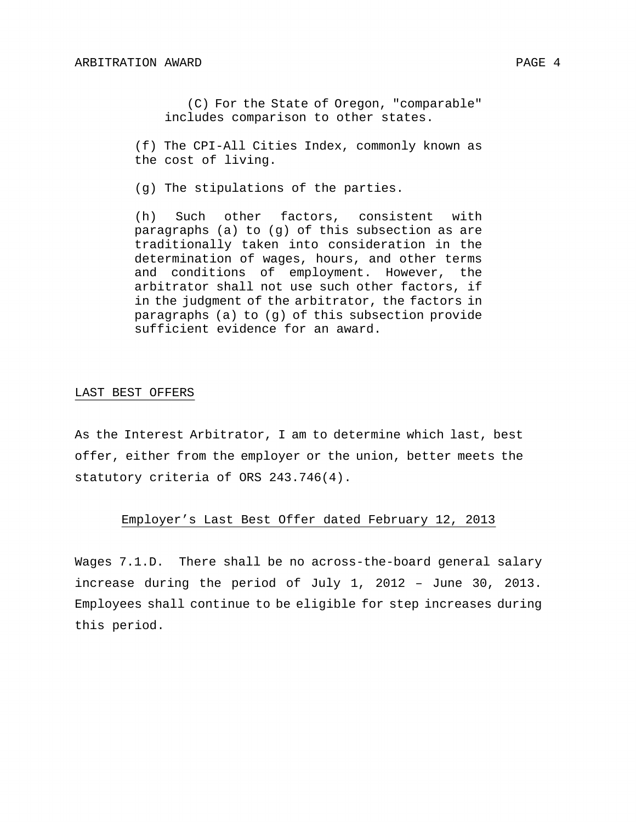(C) For the State of Oregon, "comparable" includes comparison to other states.

(f) The CPI-All Cities Index, commonly known as the cost of living.

(g) The stipulations of the parties.

(h) Such other factors, consistent with paragraphs (a) to (g) of this subsection as are traditionally taken into consideration in the determination of wages, hours, and other terms and conditions of employment. However, the arbitrator shall not use such other factors, if in the judgment of the arbitrator, the factors in paragraphs (a) to (g) of this subsection provide sufficient evidence for an award.

#### LAST BEST OFFERS

As the Interest Arbitrator, I am to determine which last, best offer, either from the employer or the union, better meets the statutory criteria of ORS 243.746(4).

## Employer's Last Best Offer dated February 12, 2013

Wages 7.1.D. There shall be no across-the-board general salary increase during the period of July 1, 2012 – June 30, 2013. Employees shall continue to be eligible for step increases during this period.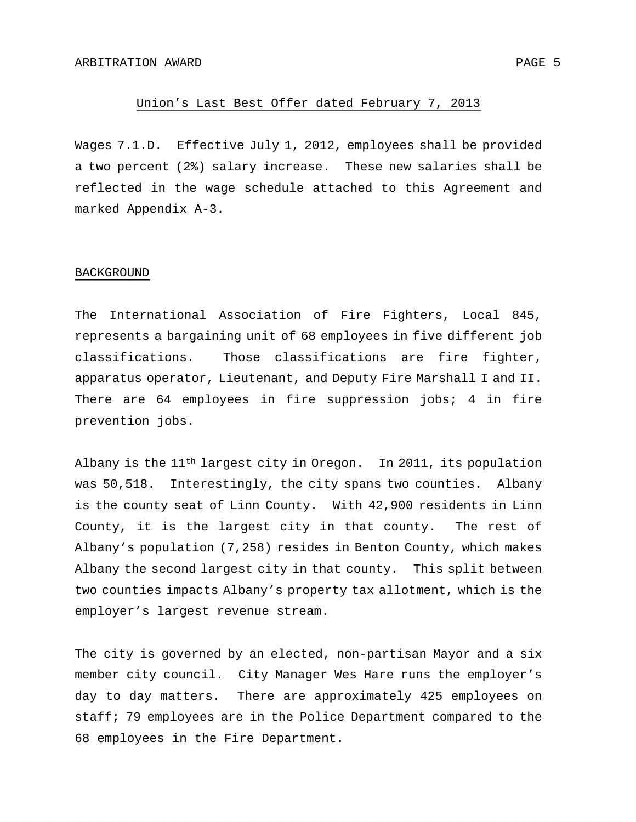#### Union's Last Best Offer dated February 7, 2013

Wages 7.1.D. Effective July 1, 2012, employees shall be provided a two percent (2%) salary increase. These new salaries shall be reflected in the wage schedule attached to this Agreement and marked Appendix A-3.

#### BACKGROUND

The International Association of Fire Fighters, Local 845, represents a bargaining unit of 68 employees in five different job classifications. Those classifications are fire fighter, apparatus operator, Lieutenant, and Deputy Fire Marshall I and II. There are 64 employees in fire suppression jobs; 4 in fire prevention jobs.

Albany is the 11th largest city in Oregon. In 2011, its population was 50,518. Interestingly, the city spans two counties. Albany is the county seat of Linn County. With 42,900 residents in Linn County, it is the largest city in that county. The rest of Albany's population (7,258) resides in Benton County, which makes Albany the second largest city in that county. This split between two counties impacts Albany's property tax allotment, which is the employer's largest revenue stream.

The city is governed by an elected, non-partisan Mayor and a six member city council. City Manager Wes Hare runs the employer's day to day matters. There are approximately 425 employees on staff; 79 employees are in the Police Department compared to the 68 employees in the Fire Department.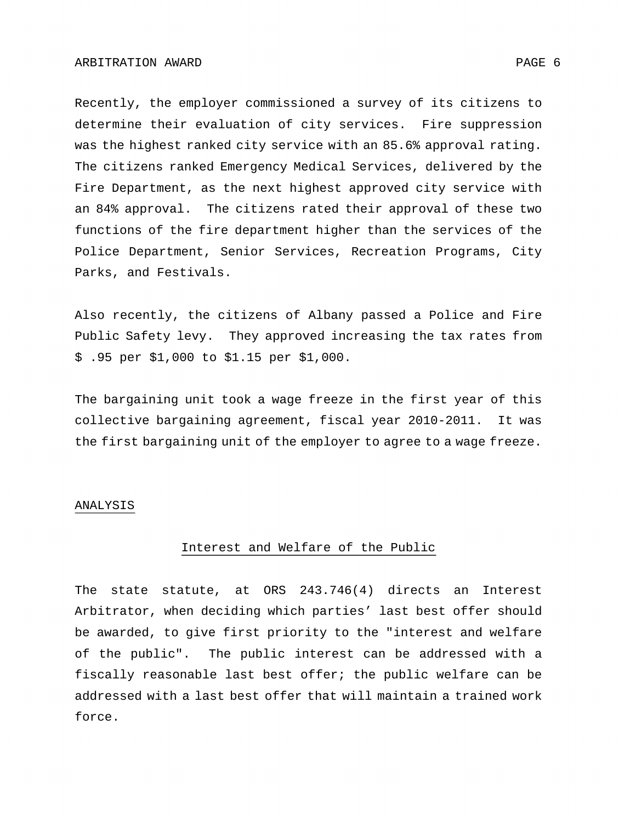Recently, the employer commissioned a survey of its citizens to determine their evaluation of city services. Fire suppression was the highest ranked city service with an 85.6% approval rating. The citizens ranked Emergency Medical Services, delivered by the Fire Department, as the next highest approved city service with an 84% approval. The citizens rated their approval of these two functions of the fire department higher than the services of the Police Department, Senior Services, Recreation Programs, City Parks, and Festivals.

Also recently, the citizens of Albany passed a Police and Fire Public Safety levy. They approved increasing the tax rates from \$ .95 per \$1,000 to \$1.15 per \$1,000.

The bargaining unit took a wage freeze in the first year of this collective bargaining agreement, fiscal year 2010-2011. It was the first bargaining unit of the employer to agree to a wage freeze.

#### ANALYSIS

### Interest and Welfare of the Public

The state statute, at ORS 243.746(4) directs an Interest Arbitrator, when deciding which parties' last best offer should be awarded, to give first priority to the "interest and welfare of the public". The public interest can be addressed with a fiscally reasonable last best offer; the public welfare can be addressed with a last best offer that will maintain a trained work force.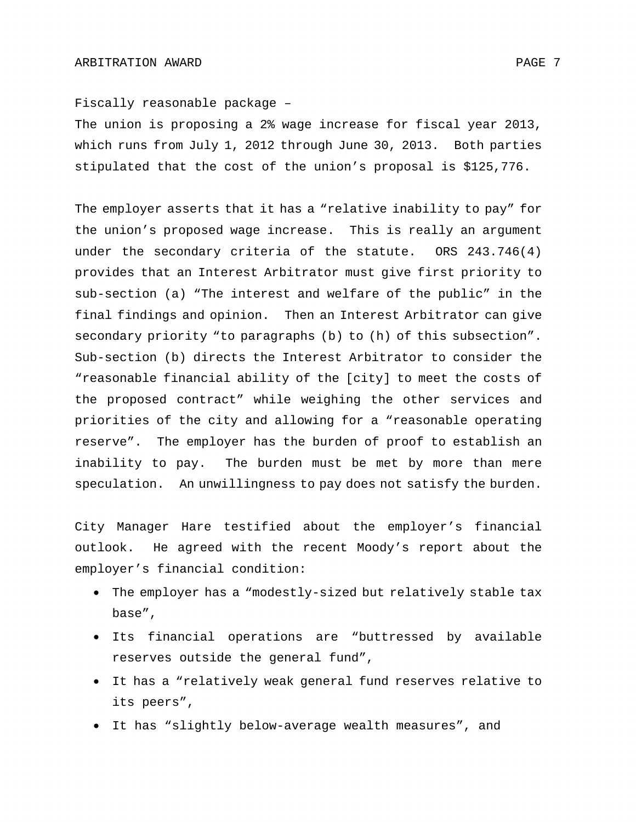Fiscally reasonable package –

The union is proposing a 2% wage increase for fiscal year 2013, which runs from July 1, 2012 through June 30, 2013. Both parties stipulated that the cost of the union's proposal is \$125,776.

The employer asserts that it has a "relative inability to pay" for the union's proposed wage increase. This is really an argument under the secondary criteria of the statute. ORS 243.746(4) provides that an Interest Arbitrator must give first priority to sub-section (a) "The interest and welfare of the public" in the final findings and opinion. Then an Interest Arbitrator can give secondary priority "to paragraphs (b) to (h) of this subsection". Sub-section (b) directs the Interest Arbitrator to consider the "reasonable financial ability of the [city] to meet the costs of the proposed contract" while weighing the other services and priorities of the city and allowing for a "reasonable operating reserve". The employer has the burden of proof to establish an inability to pay. The burden must be met by more than mere speculation. An unwillingness to pay does not satisfy the burden.

City Manager Hare testified about the employer's financial outlook. He agreed with the recent Moody's report about the employer's financial condition:

- The employer has a "modestly-sized but relatively stable tax base",
- Its financial operations are "buttressed by available reserves outside the general fund",
- It has a "relatively weak general fund reserves relative to its peers",
- It has "slightly below-average wealth measures", and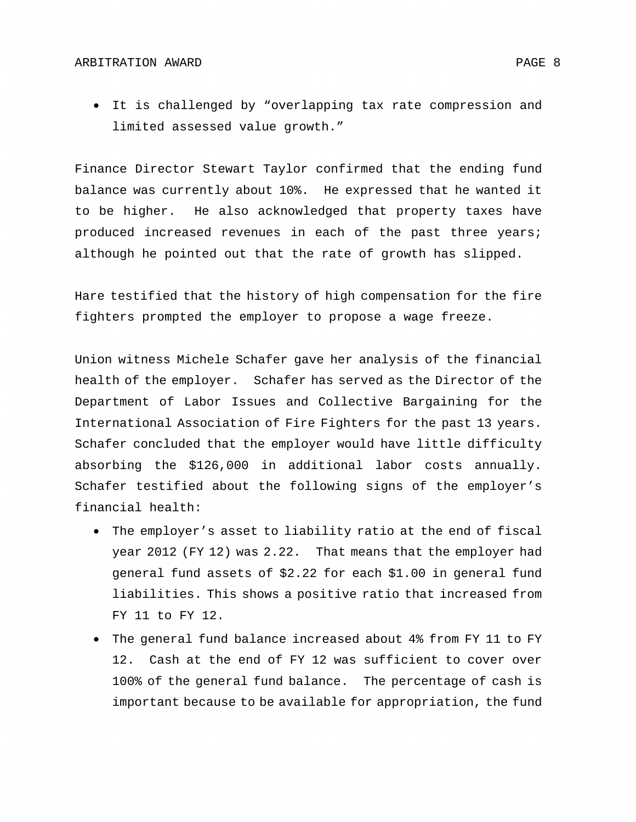• It is challenged by "overlapping tax rate compression and limited assessed value growth."

Finance Director Stewart Taylor confirmed that the ending fund balance was currently about 10%. He expressed that he wanted it to be higher. He also acknowledged that property taxes have produced increased revenues in each of the past three years; although he pointed out that the rate of growth has slipped.

Hare testified that the history of high compensation for the fire fighters prompted the employer to propose a wage freeze.

Union witness Michele Schafer gave her analysis of the financial health of the employer. Schafer has served as the Director of the Department of Labor Issues and Collective Bargaining for the International Association of Fire Fighters for the past 13 years. Schafer concluded that the employer would have little difficulty absorbing the \$126,000 in additional labor costs annually. Schafer testified about the following signs of the employer's financial health:

- The employer's asset to liability ratio at the end of fiscal year 2012 (FY 12) was 2.22. That means that the employer had general fund assets of \$2.22 for each \$1.00 in general fund liabilities. This shows a positive ratio that increased from FY 11 to FY 12.
- The general fund balance increased about 4% from FY 11 to FY 12. Cash at the end of FY 12 was sufficient to cover over 100% of the general fund balance. The percentage of cash is important because to be available for appropriation, the fund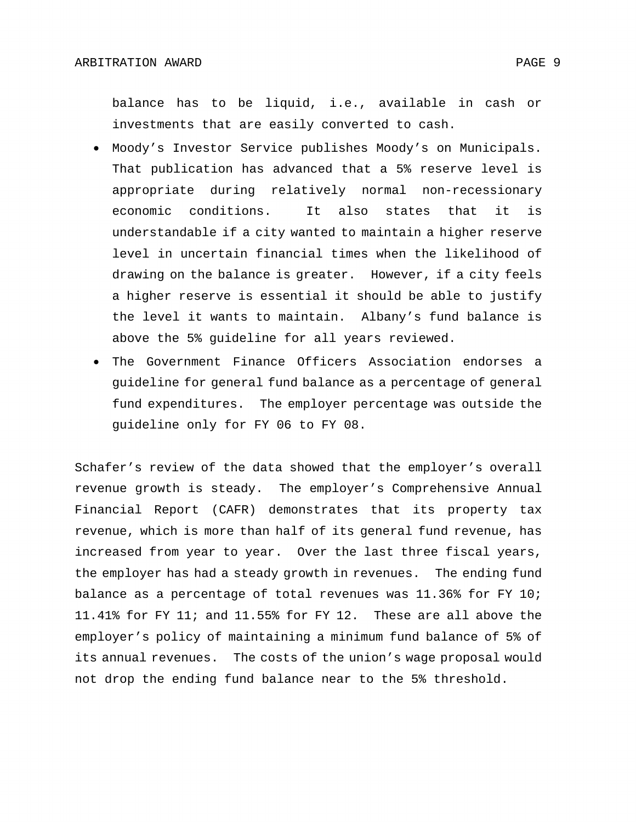balance has to be liquid, i.e., available in cash or investments that are easily converted to cash.

- Moody's Investor Service publishes Moody's on Municipals. That publication has advanced that a 5% reserve level is appropriate during relatively normal non-recessionary economic conditions. It also states that it is understandable if a city wanted to maintain a higher reserve level in uncertain financial times when the likelihood of drawing on the balance is greater. However, if a city feels a higher reserve is essential it should be able to justify the level it wants to maintain. Albany's fund balance is above the 5% guideline for all years reviewed.
- The Government Finance Officers Association endorses a guideline for general fund balance as a percentage of general fund expenditures. The employer percentage was outside the guideline only for FY 06 to FY 08.

Schafer's review of the data showed that the employer's overall revenue growth is steady. The employer's Comprehensive Annual Financial Report (CAFR) demonstrates that its property tax revenue, which is more than half of its general fund revenue, has increased from year to year. Over the last three fiscal years, the employer has had a steady growth in revenues. The ending fund balance as a percentage of total revenues was 11.36% for FY 10; 11.41% for FY 11; and 11.55% for FY 12. These are all above the employer's policy of maintaining a minimum fund balance of 5% of its annual revenues. The costs of the union's wage proposal would not drop the ending fund balance near to the 5% threshold.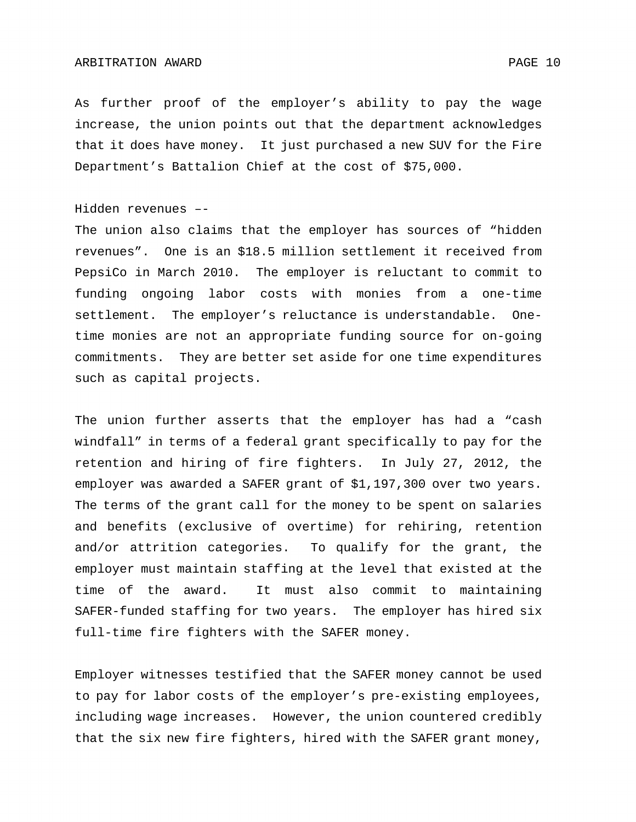As further proof of the employer's ability to pay the wage increase, the union points out that the department acknowledges that it does have money. It just purchased a new SUV for the Fire Department's Battalion Chief at the cost of \$75,000.

### Hidden revenues –-

The union also claims that the employer has sources of "hidden revenues". One is an \$18.5 million settlement it received from PepsiCo in March 2010. The employer is reluctant to commit to funding ongoing labor costs with monies from a one-time settlement. The employer's reluctance is understandable. Onetime monies are not an appropriate funding source for on-going commitments. They are better set aside for one time expenditures such as capital projects.

The union further asserts that the employer has had a "cash windfall" in terms of a federal grant specifically to pay for the retention and hiring of fire fighters. In July 27, 2012, the employer was awarded a SAFER grant of \$1,197,300 over two years. The terms of the grant call for the money to be spent on salaries and benefits (exclusive of overtime) for rehiring, retention and/or attrition categories. To qualify for the grant, the employer must maintain staffing at the level that existed at the time of the award. It must also commit to maintaining SAFER-funded staffing for two years. The employer has hired six full-time fire fighters with the SAFER money.

Employer witnesses testified that the SAFER money cannot be used to pay for labor costs of the employer's pre-existing employees, including wage increases. However, the union countered credibly that the six new fire fighters, hired with the SAFER grant money,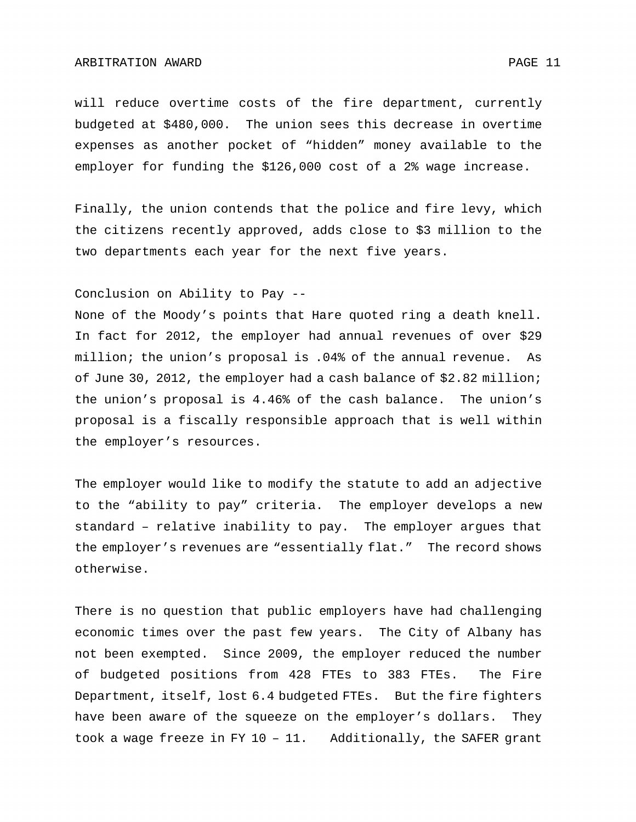will reduce overtime costs of the fire department, currently budgeted at \$480,000. The union sees this decrease in overtime expenses as another pocket of "hidden" money available to the employer for funding the \$126,000 cost of a 2% wage increase.

Finally, the union contends that the police and fire levy, which the citizens recently approved, adds close to \$3 million to the two departments each year for the next five years.

Conclusion on Ability to Pay --

None of the Moody's points that Hare quoted ring a death knell. In fact for 2012, the employer had annual revenues of over \$29 million; the union's proposal is .04% of the annual revenue. As of June 30, 2012, the employer had a cash balance of \$2.82 million; the union's proposal is 4.46% of the cash balance. The union's proposal is a fiscally responsible approach that is well within the employer's resources.

The employer would like to modify the statute to add an adjective to the "ability to pay" criteria. The employer develops a new standard – relative inability to pay. The employer argues that the employer's revenues are "essentially flat." The record shows otherwise.

There is no question that public employers have had challenging economic times over the past few years. The City of Albany has not been exempted. Since 2009, the employer reduced the number of budgeted positions from 428 FTEs to 383 FTEs. The Fire Department, itself, lost 6.4 budgeted FTEs. But the fire fighters have been aware of the squeeze on the employer's dollars. They took a wage freeze in FY 10 – 11. Additionally, the SAFER grant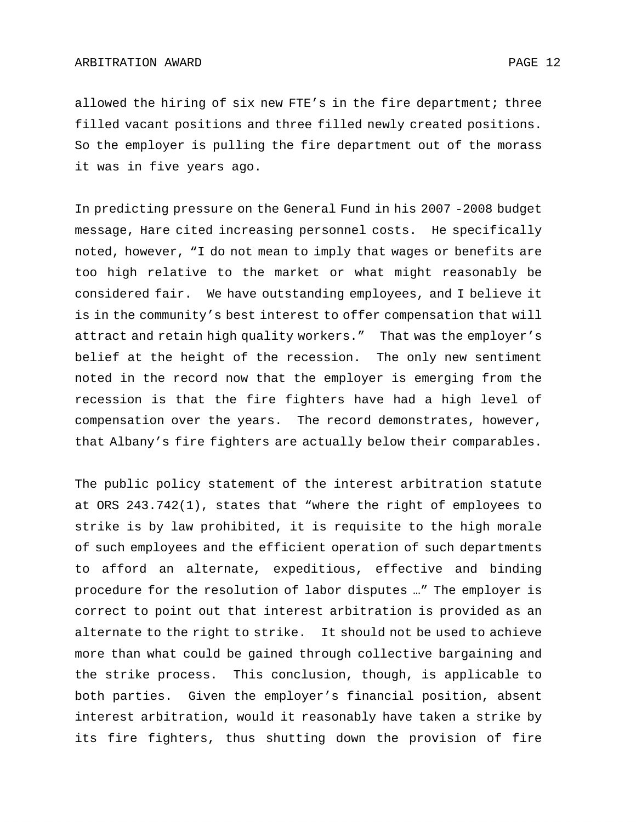allowed the hiring of six new FTE's in the fire department; three filled vacant positions and three filled newly created positions. So the employer is pulling the fire department out of the morass it was in five years ago.

In predicting pressure on the General Fund in his 2007 -2008 budget message, Hare cited increasing personnel costs. He specifically noted, however, "I do not mean to imply that wages or benefits are too high relative to the market or what might reasonably be considered fair. We have outstanding employees, and I believe it is in the community's best interest to offer compensation that will attract and retain high quality workers." That was the employer's belief at the height of the recession. The only new sentiment noted in the record now that the employer is emerging from the recession is that the fire fighters have had a high level of compensation over the years. The record demonstrates, however, that Albany's fire fighters are actually below their comparables.

The public policy statement of the interest arbitration statute at ORS 243.742(1), states that "where the right of employees to strike is by law prohibited, it is requisite to the high morale of such employees and the efficient operation of such departments to afford an alternate, expeditious, effective and binding procedure for the resolution of labor disputes …" The employer is correct to point out that interest arbitration is provided as an alternate to the right to strike. It should not be used to achieve more than what could be gained through collective bargaining and the strike process. This conclusion, though, is applicable to both parties. Given the employer's financial position, absent interest arbitration, would it reasonably have taken a strike by its fire fighters, thus shutting down the provision of fire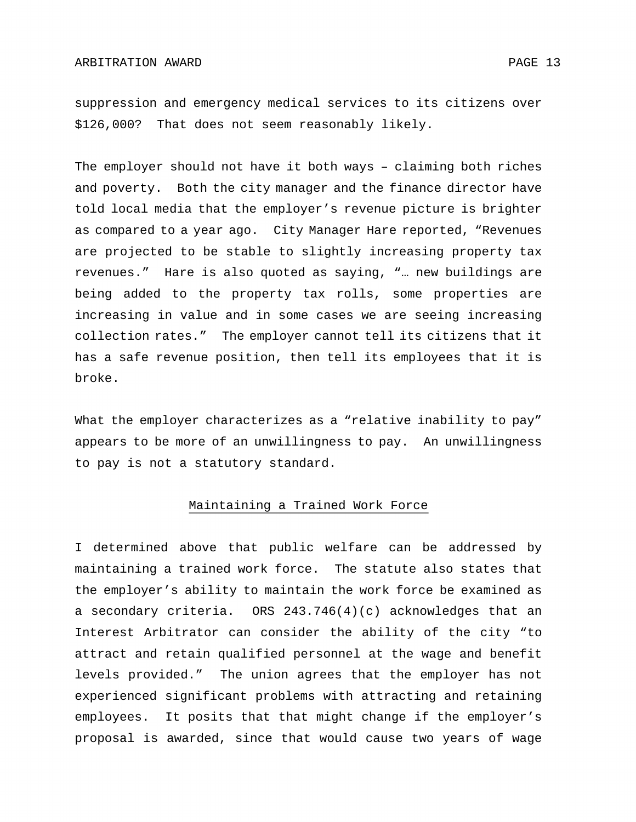suppression and emergency medical services to its citizens over \$126,000? That does not seem reasonably likely.

The employer should not have it both ways – claiming both riches and poverty. Both the city manager and the finance director have told local media that the employer's revenue picture is brighter as compared to a year ago. City Manager Hare reported, "Revenues are projected to be stable to slightly increasing property tax revenues." Hare is also quoted as saying, "… new buildings are being added to the property tax rolls, some properties are increasing in value and in some cases we are seeing increasing collection rates." The employer cannot tell its citizens that it has a safe revenue position, then tell its employees that it is broke.

What the employer characterizes as a "relative inability to pay" appears to be more of an unwillingness to pay. An unwillingness to pay is not a statutory standard.

### Maintaining a Trained Work Force

I determined above that public welfare can be addressed by maintaining a trained work force. The statute also states that the employer's ability to maintain the work force be examined as a secondary criteria. ORS 243.746(4)(c) acknowledges that an Interest Arbitrator can consider the ability of the city "to attract and retain qualified personnel at the wage and benefit levels provided." The union agrees that the employer has not experienced significant problems with attracting and retaining employees. It posits that that might change if the employer's proposal is awarded, since that would cause two years of wage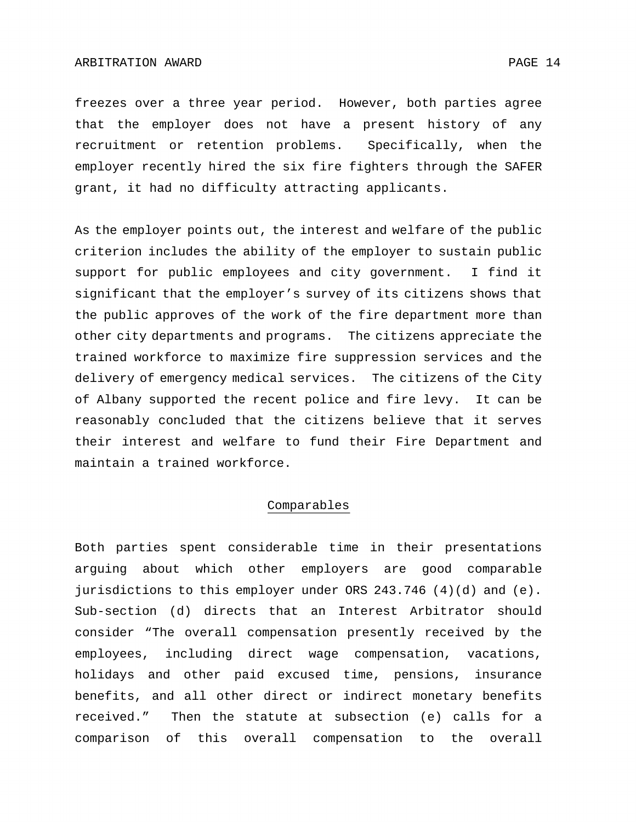freezes over a three year period. However, both parties agree that the employer does not have a present history of any recruitment or retention problems. Specifically, when the employer recently hired the six fire fighters through the SAFER grant, it had no difficulty attracting applicants.

As the employer points out, the interest and welfare of the public criterion includes the ability of the employer to sustain public support for public employees and city government. I find it significant that the employer's survey of its citizens shows that the public approves of the work of the fire department more than other city departments and programs. The citizens appreciate the trained workforce to maximize fire suppression services and the delivery of emergency medical services. The citizens of the City of Albany supported the recent police and fire levy. It can be reasonably concluded that the citizens believe that it serves their interest and welfare to fund their Fire Department and maintain a trained workforce.

### Comparables

Both parties spent considerable time in their presentations arguing about which other employers are good comparable jurisdictions to this employer under ORS 243.746 (4)(d) and (e). Sub-section (d) directs that an Interest Arbitrator should consider "The overall compensation presently received by the employees, including direct wage compensation, vacations, holidays and other paid excused time, pensions, insurance benefits, and all other direct or indirect monetary benefits received." Then the statute at subsection (e) calls for a comparison of this overall compensation to the overall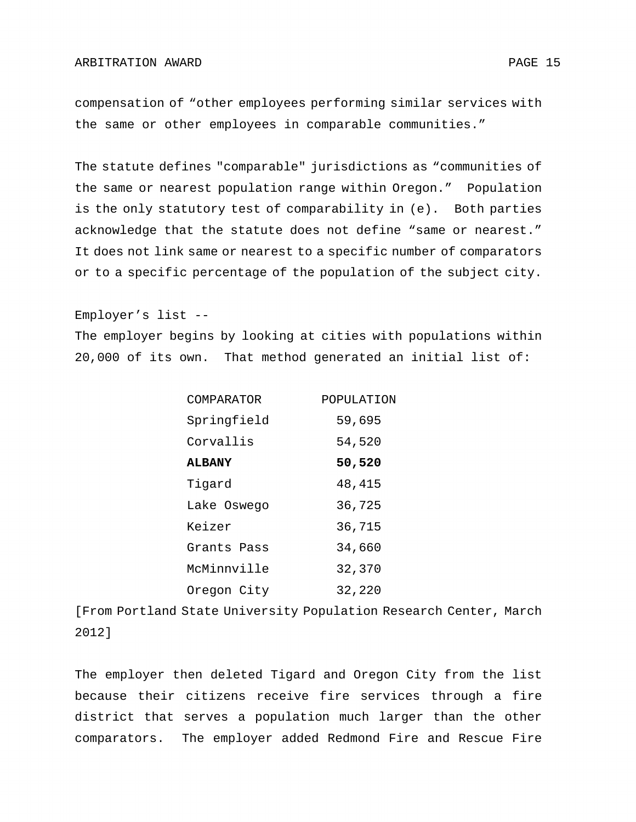compensation of "other employees performing similar services with the same or other employees in comparable communities."

The statute defines "comparable" jurisdictions as "communities of the same or nearest population range within Oregon." Population is the only statutory test of comparability in (e). Both parties acknowledge that the statute does not define "same or nearest." It does not link same or nearest to a specific number of comparators or to a specific percentage of the population of the subject city.

Employer's list --

The employer begins by looking at cities with populations within 20,000 of its own. That method generated an initial list of:

| COMPARATOR    | POPULATION |
|---------------|------------|
| Springfield   | 59,695     |
| Corvallis     | 54,520     |
| <b>ALBANY</b> | 50,520     |
| Tigard        | 48,415     |
| Lake Oswego   | 36,725     |
| Keizer        | 36,715     |
| Grants Pass   | 34,660     |
| McMinnville   | 32,370     |
| Oregon City   | 32,220     |

[From Portland State University Population Research Center, March 2012]

The employer then deleted Tigard and Oregon City from the list because their citizens receive fire services through a fire district that serves a population much larger than the other comparators. The employer added Redmond Fire and Rescue Fire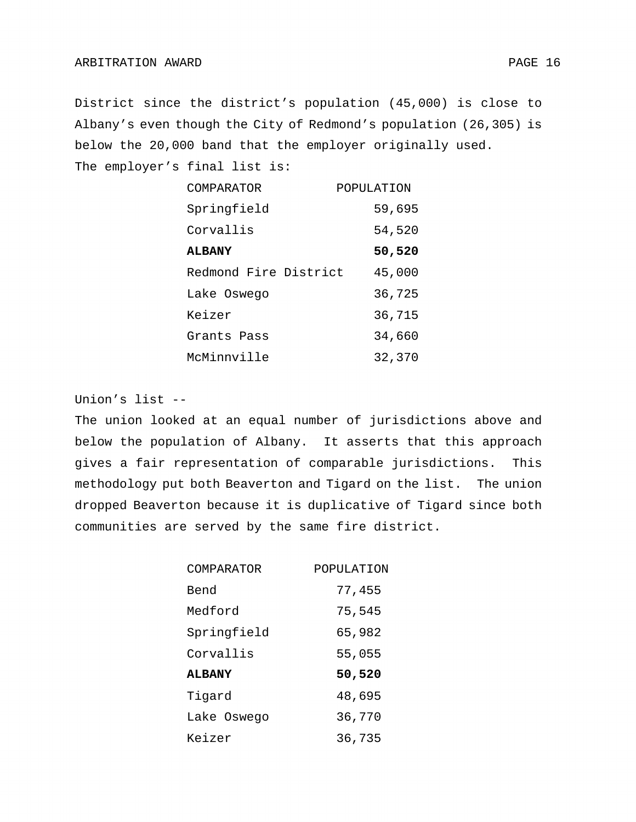District since the district's population (45,000) is close to Albany's even though the City of Redmond's population (26,305) is below the 20,000 band that the employer originally used.

The employer's final list is:

| COMPARATOR            | POPULATION |
|-----------------------|------------|
| Springfield           | 59,695     |
| Corvallis             | 54,520     |
| <b>ALBANY</b>         | 50,520     |
| Redmond Fire District | 45,000     |
| Lake Oswego           | 36,725     |
| Keizer                | 36,715     |
| Grants Pass           | 34,660     |
| McMinnville           | 32,370     |

Union's list --

The union looked at an equal number of jurisdictions above and below the population of Albany. It asserts that this approach gives a fair representation of comparable jurisdictions. This methodology put both Beaverton and Tigard on the list. The union dropped Beaverton because it is duplicative of Tigard since both communities are served by the same fire district.

| COMPARATOR    | POPULATION |
|---------------|------------|
| Bend          | 77,455     |
| Medford       | 75,545     |
| Springfield   | 65,982     |
| Corvallis     | 55,055     |
| <b>ALBANY</b> | 50,520     |
| Tigard        | 48,695     |
| Lake Oswego   | 36,770     |
| Keizer        | 36,735     |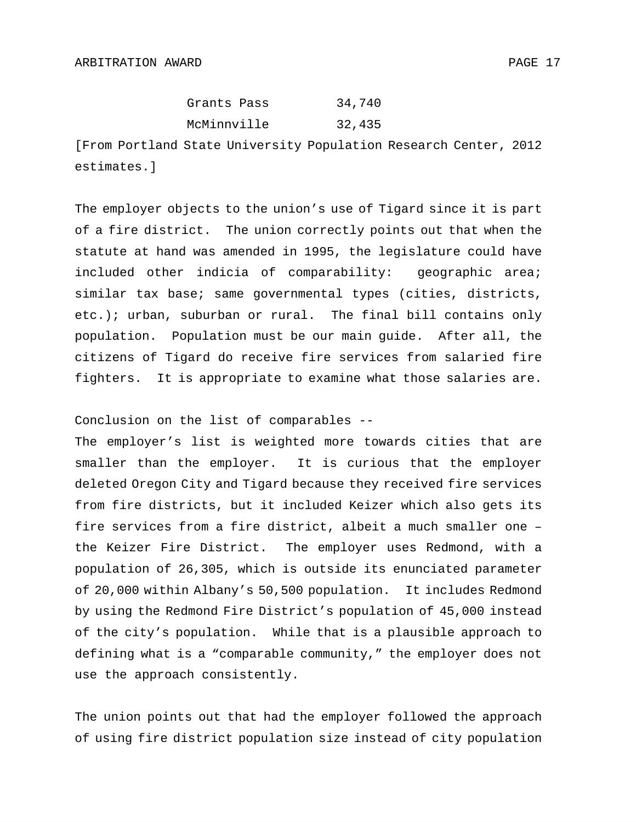| Grants Pass | 34,740 |
|-------------|--------|
| McMinnville | 32,435 |

[From Portland State University Population Research Center, 2012 estimates.]

The employer objects to the union's use of Tigard since it is part of a fire district. The union correctly points out that when the statute at hand was amended in 1995, the legislature could have included other indicia of comparability: geographic area; similar tax base; same governmental types (cities, districts, etc.); urban, suburban or rural. The final bill contains only population. Population must be our main guide. After all, the citizens of Tigard do receive fire services from salaried fire fighters. It is appropriate to examine what those salaries are.

Conclusion on the list of comparables --

The employer's list is weighted more towards cities that are smaller than the employer. It is curious that the employer deleted Oregon City and Tigard because they received fire services from fire districts, but it included Keizer which also gets its fire services from a fire district, albeit a much smaller one – the Keizer Fire District. The employer uses Redmond, with a population of 26,305, which is outside its enunciated parameter of 20,000 within Albany's 50,500 population. It includes Redmond by using the Redmond Fire District's population of 45,000 instead of the city's population. While that is a plausible approach to defining what is a "comparable community," the employer does not use the approach consistently.

The union points out that had the employer followed the approach of using fire district population size instead of city population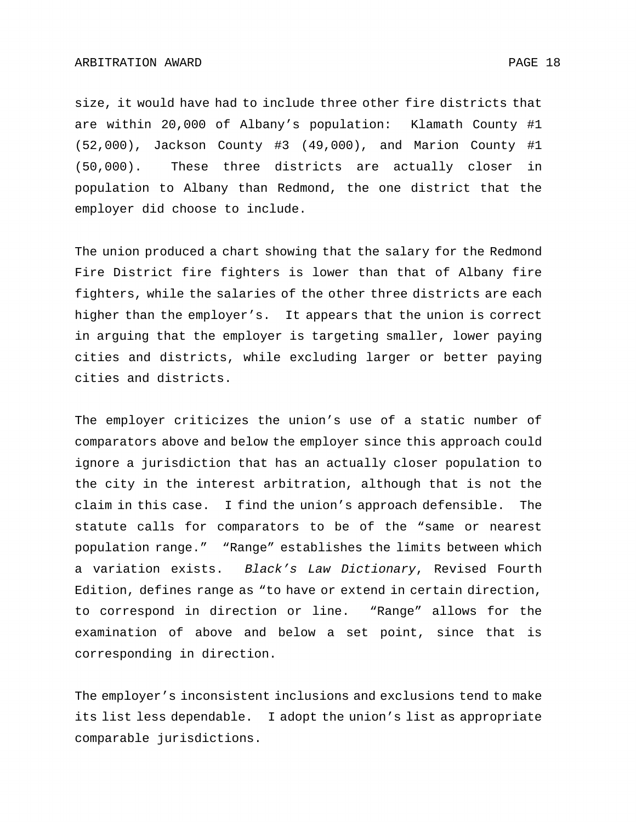#### ARBITRATION AWARD 2008 18

size, it would have had to include three other fire districts that are within 20,000 of Albany's population: Klamath County #1 (52,000), Jackson County #3 (49,000), and Marion County #1

(50,000). These three districts are actually closer in population to Albany than Redmond, the one district that the employer did choose to include.

The union produced a chart showing that the salary for the Redmond Fire District fire fighters is lower than that of Albany fire fighters, while the salaries of the other three districts are each higher than the employer's. It appears that the union is correct in arguing that the employer is targeting smaller, lower paying cities and districts, while excluding larger or better paying cities and districts.

The employer criticizes the union's use of a static number of comparators above and below the employer since this approach could ignore a jurisdiction that has an actually closer population to the city in the interest arbitration, although that is not the claim in this case. I find the union's approach defensible. The statute calls for comparators to be of the "same or nearest population range." "Range" establishes the limits between which a variation exists. *Black's Law Dictionary*, Revised Fourth Edition, defines range as "to have or extend in certain direction, to correspond in direction or line. "Range" allows for the examination of above and below a set point, since that is corresponding in direction.

The employer's inconsistent inclusions and exclusions tend to make its list less dependable. I adopt the union's list as appropriate comparable jurisdictions.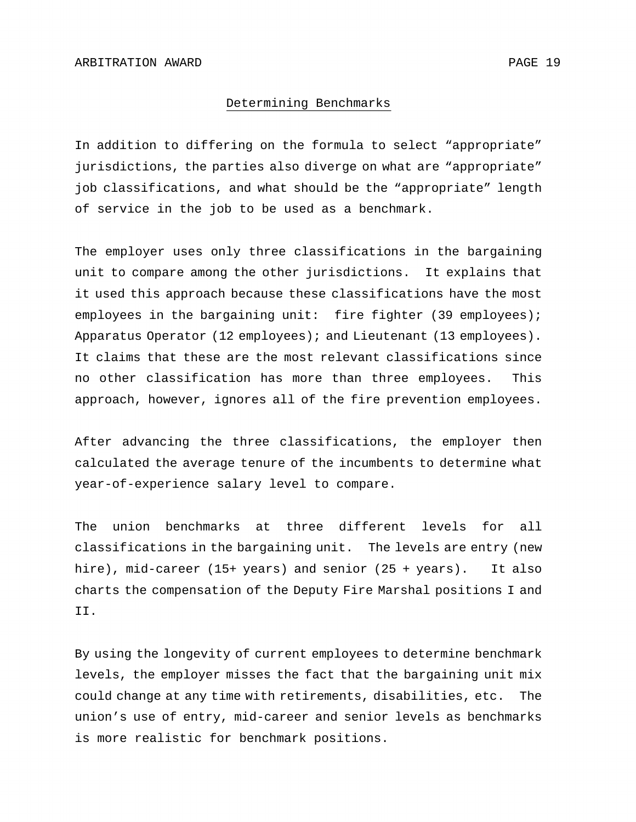#### Determining Benchmarks

In addition to differing on the formula to select "appropriate" jurisdictions, the parties also diverge on what are "appropriate" job classifications, and what should be the "appropriate" length of service in the job to be used as a benchmark.

The employer uses only three classifications in the bargaining unit to compare among the other jurisdictions. It explains that it used this approach because these classifications have the most employees in the bargaining unit: fire fighter (39 employees); Apparatus Operator (12 employees); and Lieutenant (13 employees). It claims that these are the most relevant classifications since no other classification has more than three employees. This approach, however, ignores all of the fire prevention employees.

After advancing the three classifications, the employer then calculated the average tenure of the incumbents to determine what year-of-experience salary level to compare.

The union benchmarks at three different levels for all classifications in the bargaining unit. The levels are entry (new hire), mid-career (15+ years) and senior (25 + years). It also charts the compensation of the Deputy Fire Marshal positions I and II.

By using the longevity of current employees to determine benchmark levels, the employer misses the fact that the bargaining unit mix could change at any time with retirements, disabilities, etc. The union's use of entry, mid-career and senior levels as benchmarks is more realistic for benchmark positions.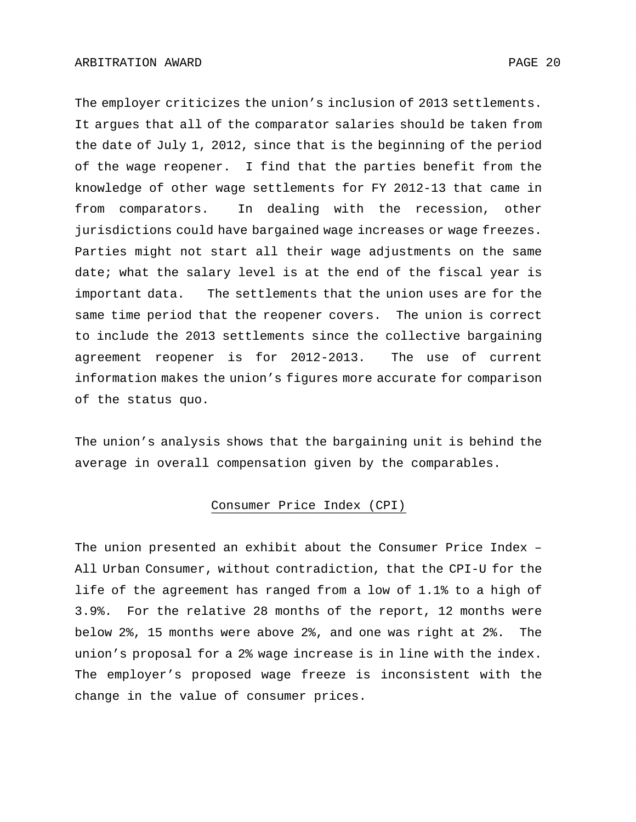The employer criticizes the union's inclusion of 2013 settlements. It argues that all of the comparator salaries should be taken from the date of July 1, 2012, since that is the beginning of the period of the wage reopener. I find that the parties benefit from the knowledge of other wage settlements for FY 2012-13 that came in from comparators. In dealing with the recession, other jurisdictions could have bargained wage increases or wage freezes. Parties might not start all their wage adjustments on the same date; what the salary level is at the end of the fiscal year is important data. The settlements that the union uses are for the same time period that the reopener covers. The union is correct to include the 2013 settlements since the collective bargaining agreement reopener is for 2012-2013. The use of current information makes the union's figures more accurate for comparison of the status quo.

The union's analysis shows that the bargaining unit is behind the average in overall compensation given by the comparables.

# Consumer Price Index (CPI)

The union presented an exhibit about the Consumer Price Index – All Urban Consumer, without contradiction, that the CPI-U for the life of the agreement has ranged from a low of 1.1% to a high of 3.9%. For the relative 28 months of the report, 12 months were below 2%, 15 months were above 2%, and one was right at 2%. The union's proposal for a 2% wage increase is in line with the index. The employer's proposed wage freeze is inconsistent with the change in the value of consumer prices.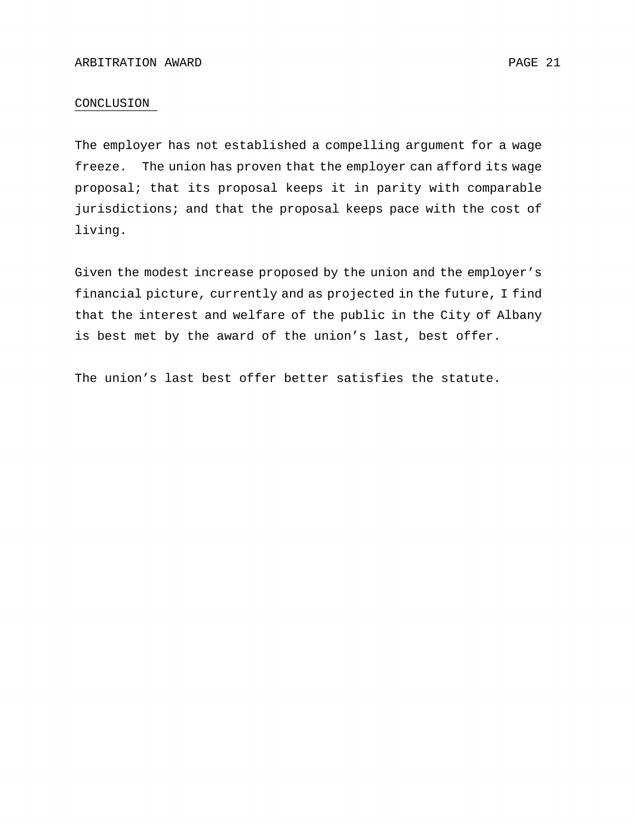### CONCLUSION

The employer has not established a compelling argument for a wage freeze. The union has proven that the employer can afford its wage proposal; that its proposal keeps it in parity with comparable jurisdictions; and that the proposal keeps pace with the cost of living.

Given the modest increase proposed by the union and the employer's financial picture, currently and as projected in the future, I find that the interest and welfare of the public in the City of Albany is best met by the award of the union's last, best offer.

The union's last best offer better satisfies the statute.